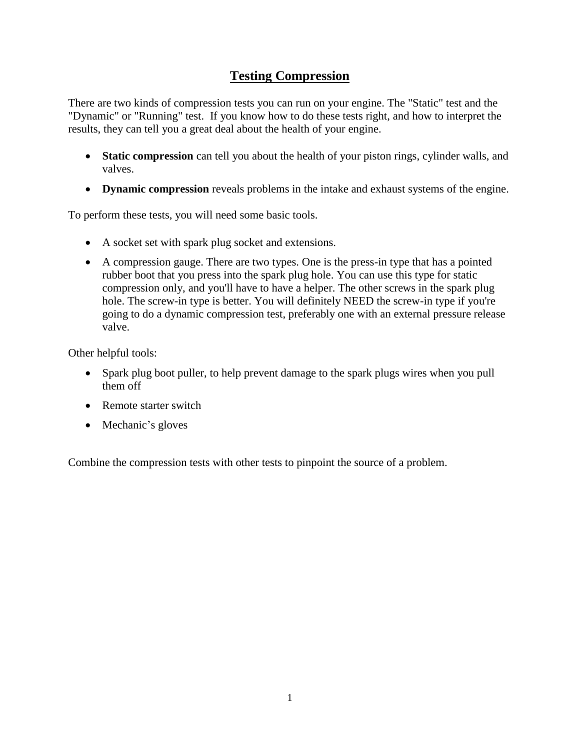## **Testing Compression**

There are two kinds of compression tests you can run on your engine. The "Static" test and the "Dynamic" or "Running" test. If you know how to do these tests right, and how to interpret the results, they can tell you a great deal about the health of your engine.

- **Static compression** can tell you about the health of your piston rings, cylinder walls, and valves.
- **Dynamic compression** reveals problems in the intake and exhaust systems of the engine.

To perform these tests, you will need some basic tools.

- A socket set with spark plug socket and extensions.
- A compression gauge. There are two types. One is the press-in type that has a pointed rubber boot that you press into the spark plug hole. You can use this type for static compression only, and you'll have to have a helper. The other screws in the spark plug hole. The screw-in type is better. You will definitely NEED the screw-in type if you're going to do a dynamic compression test, preferably one with an external pressure release valve.

Other helpful tools:

- Spark plug boot puller, to help prevent damage to the spark plugs wires when you pull them off
- Remote starter switch
- Mechanic's gloves

Combine the compression tests with other tests to pinpoint the source of a problem.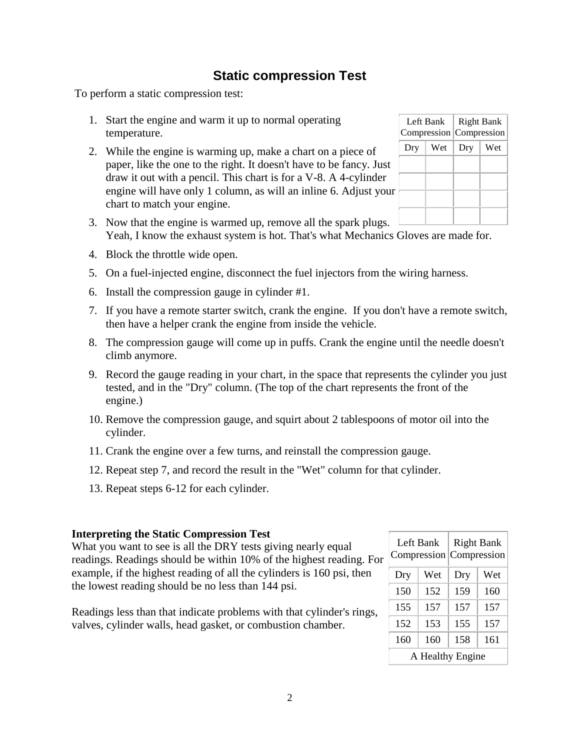## **Static compression Test**

To perform a static compression test:

- 1. Start the engine and warm it up to normal operating temperature.
- 2. While the engine is warming up, make a chart on a piece of paper, like the one to the right. It doesn't have to be fancy. Just draw it out with a pencil. This chart is for a V-8. A 4-cylinder engine will have only 1 column, as will an inline 6. Adjust your chart to match your engine.

| Left Bank<br>Compression |     | <b>Right Bank</b><br>Compression |     |
|--------------------------|-----|----------------------------------|-----|
| Dry                      | Wet |                                  | Wet |
|                          |     |                                  |     |
|                          |     |                                  |     |
|                          |     |                                  |     |
|                          |     |                                  |     |

- 3. Now that the engine is warmed up, remove all the spark plugs.  $\Box$ Yeah, I know the exhaust system is hot. That's what Mechanics Gloves are made for.
- 4. Block the throttle wide open.
- 5. On a fuel-injected engine, disconnect the fuel injectors from the wiring harness.
- 6. Install the compression gauge in cylinder #1.
- 7. If you have a remote starter switch, crank the engine. If you don't have a remote switch, then have a helper crank the engine from inside the vehicle.
- 8. The compression gauge will come up in puffs. Crank the engine until the needle doesn't climb anymore.
- 9. Record the gauge reading in your chart, in the space that represents the cylinder you just tested, and in the "Dry" column. (The top of the chart represents the front of the engine.)
- 10. Remove the compression gauge, and squirt about 2 tablespoons of motor oil into the cylinder.
- 11. Crank the engine over a few turns, and reinstall the compression gauge.
- 12. Repeat step 7, and record the result in the "Wet" column for that cylinder.
- 13. Repeat steps 6-12 for each cylinder.

### **Interpreting the Static Compression Test**

What you want to see is all the DRY tests giving nearly equal readings. Readings should be within 10% of the highest reading. For example, if the highest reading of all the cylinders is 160 psi, then the lowest reading should be no less than 144 psi.

Readings less than that indicate problems with that cylinder's rings, valves, cylinder walls, head gasket, or combustion chamber.

| Left Bank        |     | <b>Right Bank</b> |     |
|------------------|-----|-------------------|-----|
| Compression      |     | Compression       |     |
| Dry              | Wet | Dry               | Wet |
| 150              | 152 | 159               | 160 |
| 155              | 157 | 157               | 157 |
| 152              | 153 | 155               | 157 |
| 160              | 160 | 158               | 161 |
| A Healthy Engine |     |                   |     |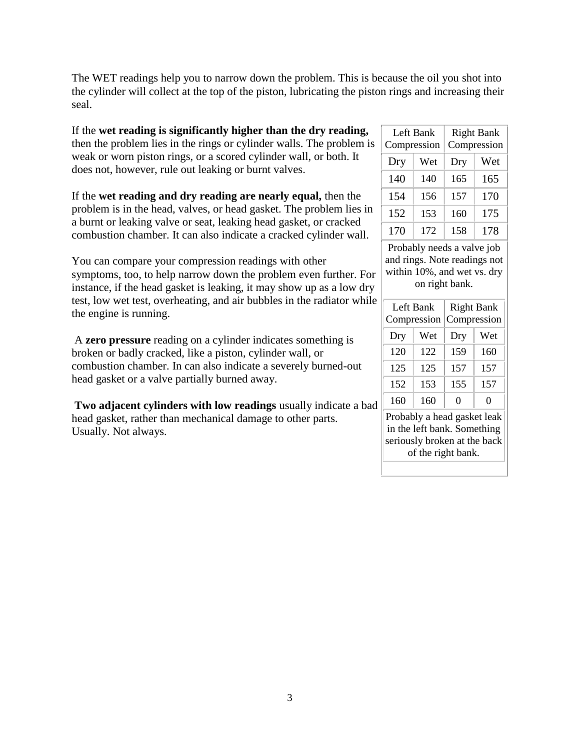The WET readings help you to narrow down the problem. This is because the oil you shot into the cylinder will collect at the top of the piston, lubricating the piston rings and increasing their seal.

If the **wet reading is significantly higher than the dry reading,** then the problem lies in the rings or cylinder walls. The problem is weak or worn piston rings, or a scored cylinder wall, or both. It does not, however, rule out leaking or burnt valves.

If the **wet reading and dry reading are nearly equal,** then the problem is in the head, valves, or head gasket. The problem lies in a burnt or leaking valve or seat, leaking head gasket, or cracked combustion chamber. It can also indicate a cracked cylinder wall.

You can compare your compression readings with other symptoms, too, to help narrow down the problem even further. For instance, if the head gasket is leaking, it may show up as a low dry test, low wet test, overheating, and air bubbles in the radiator while the engine is running.

A **zero pressure** reading on a cylinder indicates something is broken or badly cracked, like a piston, cylinder wall, or combustion chamber. In can also indicate a severely burned-out head gasket or a valve partially burned away.

**Two adjacent cylinders with low readings** usually indicate a bad head gasket, rather than mechanical damage to other parts. Usually. Not always.

| Left Bank<br>Compression |     | <b>Right Bank</b><br>Compression |     |
|--------------------------|-----|----------------------------------|-----|
| Dry                      | Wet | Dry                              | Wet |
| 140                      | 140 | 165                              | 165 |
| 154                      | 156 | 157                              | 170 |
| 152                      | 153 | 160                              | 175 |
| 170                      | 172 | 158                              | 178 |

Probably needs a valve job and rings. Note readings not within 10%, and wet vs. dry on right bank.

| Left Bank<br>Compression |     | <b>Right Bank</b><br>Compression |     |
|--------------------------|-----|----------------------------------|-----|
| Dry                      | Wet | Dry                              | Wet |
| 120                      | 122 | 159                              | 160 |
| 125                      | 125 | 157                              | 157 |
| 152                      | 153 | 155                              | 157 |
| 160                      | 160 | 0                                | 0   |

Probably a head gasket leak in the left bank. Something seriously broken at the back of the right bank.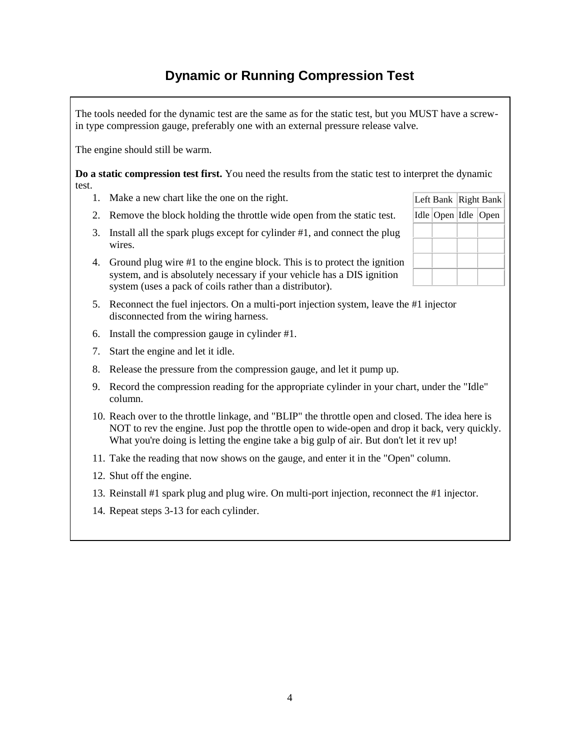# **Dynamic or Running Compression Test**

The tools needed for the dynamic test are the same as for the static test, but you MUST have a screwin type compression gauge, preferably one with an external pressure release valve.

The engine should still be warm.

**Do a static compression test first.** You need the results from the static test to interpret the dynamic test.

- 1. Make a new chart like the one on the right.
- 2. Remove the block holding the throttle wide open from the static test.
- 3. Install all the spark plugs except for cylinder #1, and connect the plug wires.
- 4. Ground plug wire #1 to the engine block. This is to protect the ignition system, and is absolutely necessary if your vehicle has a DIS ignition system (uses a pack of coils rather than a distributor).
- 5. Reconnect the fuel injectors. On a multi-port injection system, leave the #1 injector disconnected from the wiring harness.
- 6. Install the compression gauge in cylinder #1.
- 7. Start the engine and let it idle.
- 8. Release the pressure from the compression gauge, and let it pump up.
- 9. Record the compression reading for the appropriate cylinder in your chart, under the "Idle" column.
- 10. Reach over to the throttle linkage, and "BLIP" the throttle open and closed. The idea here is NOT to rev the engine. Just pop the throttle open to wide-open and drop it back, very quickly. What you're doing is letting the engine take a big gulp of air. But don't let it rev up!
- 11. Take the reading that now shows on the gauge, and enter it in the "Open" column.
- 12. Shut off the engine.
- 13. Reinstall #1 spark plug and plug wire. On multi-port injection, reconnect the #1 injector.
- 14. Repeat steps 3-13 for each cylinder.

|  |  | Left Bank   Right Bank    |  |
|--|--|---------------------------|--|
|  |  | Idle   Open   Idle   Open |  |
|  |  |                           |  |
|  |  |                           |  |
|  |  |                           |  |
|  |  |                           |  |